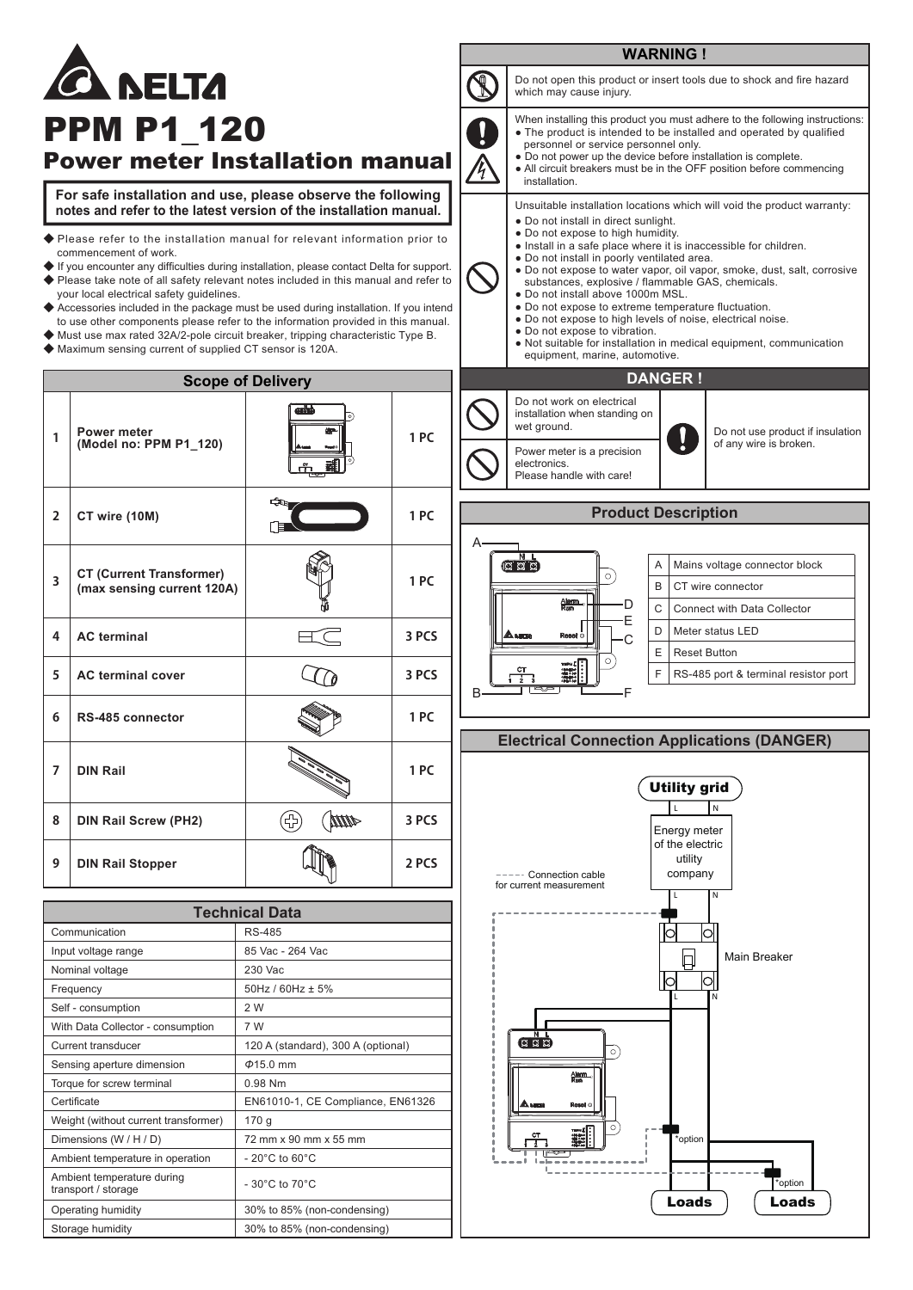## **WARNING ! ELTZ** which may cause injury. **PPM P1\_120** Power meter Installation manual installation. **For safe installation and use, please observe the following**

**notes and refer to the latest version of the installation manual.**

- ◆ Please refer to the installation manual for relevant information prior to commencement of work.
- ◆ If you encounter any difficulties during installation, please contact Delta for support. ◆ Please take note of all safety relevant notes included in this manual and refer to
- your local electrical safety guidelines. ◆ Accessories included in the package must be used during installation. If you intend
- to use other components please refer to the information provided in this manual.
- **◆** Must use max rated 32A/2-pole circuit breaker, tripping characteristic Type B.
- **◆** Maximum sensing current of supplied CT sensor is 120A.

## **Scope of Delivery Power meter 1 PC 1 (Model no: PPM P1\_120) 1 PC 2 CT wire (10M) CT (Current Transformer) 3 1 PC (max sensing current 120A) 4 AC terminal 3 PCS 5 3 PCS AC terminal cover 1 PC 6 RS-485 connector 7 DIN Rail 1 PC** G **MID 8 DIN Rail Screw (PH2) 3 PCS 9 DIN Rail Stopper 2 PCS**

| <b>Technical Data</b>                             |                                    |
|---------------------------------------------------|------------------------------------|
| Communication                                     | RS-485                             |
| Input voltage range                               | 85 Vac - 264 Vac                   |
| Nominal voltage                                   | 230 Vac                            |
| Frequency                                         | $50Hz / 60Hz \pm 5%$               |
| Self - consumption                                | 2 W                                |
| With Data Collector - consumption                 | 7 W                                |
| Current transducer                                | 120 A (standard), 300 A (optional) |
| Sensing aperture dimension                        | $\Phi$ 15.0 mm                     |
| Torque for screw terminal                         | 0.98 Nm                            |
| Certificate                                       | EN61010-1, CE Compliance, EN61326  |
| Weight (without current transformer)              | 170 g                              |
| Dimensions (W / H / D)                            | 72 mm x 90 mm x 55 mm              |
| Ambient temperature in operation                  | $-20^{\circ}$ C to 60 $^{\circ}$ C |
| Ambient temperature during<br>transport / storage | $-30^{\circ}$ C to $70^{\circ}$ C  |
| Operating humidity                                | 30% to 85% (non-condensing)        |
| Storage humidity                                  | 30% to 85% (non-condensing)        |



## **Product Description**

Please handle with care!



## **Electrical Connection Applications (DANGER)**